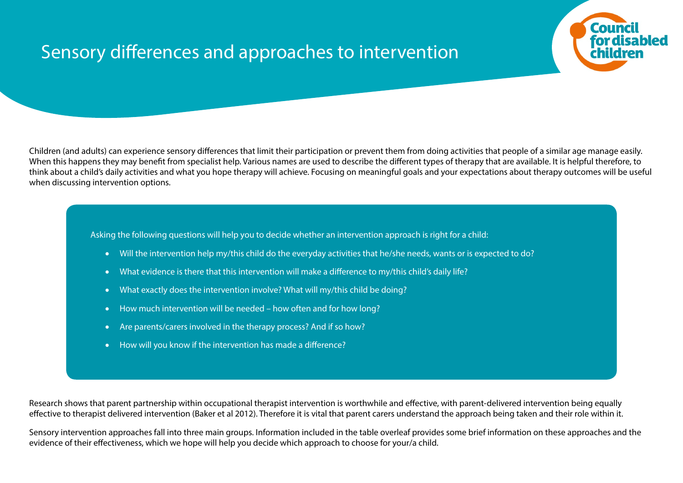## Sensory differences and approaches to intervention



Children (and adults) can experience sensory differences that limit their participation or prevent them from doing activities that people of a similar age manage easily. When this happens they may benefit from specialist help. Various names are used to describe the different types of therapy that are available. It is helpful therefore, to think about a child's daily activities and what you hope therapy will achieve. Focusing on meaningful goals and your expectations about therapy outcomes will be useful when discussing intervention options.

Asking the following questions will help you to decide whether an intervention approach is right for a child:

- Will the intervention help my/this child do the everyday activities that he/she needs, wants or is expected to do?
- What evidence is there that this intervention will make a difference to my/this child's daily life?
- What exactly does the intervention involve? What will my/this child be doing?
- How much intervention will be needed how often and for how long?
- Are parents/carers involved in the therapy process? And if so how?
- How will you know if the intervention has made a difference?

Research shows that parent partnership within occupational therapist intervention is worthwhile and effective, with parent-delivered intervention being equally effective to therapist delivered intervention (Baker et al 2012). Therefore it is vital that parent carers understand the approach being taken and their role within it.

Sensory intervention approaches fall into three main groups. Information included in the table overleaf provides some brief information on these approaches and the evidence of their effectiveness, which we hope will help you decide which approach to choose for your/a child.